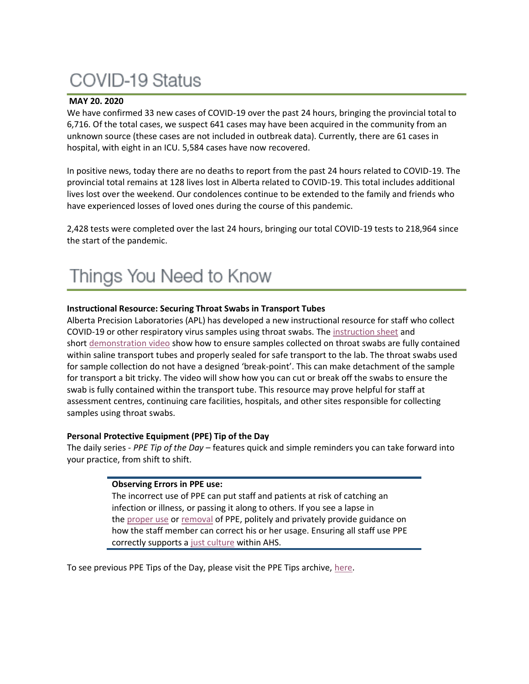# **COVID-19 Status**

### **MAY 20. 2020**

We have confirmed 33 new cases of COVID-19 over the past 24 hours, bringing the provincial total to 6,716. Of the total cases, we suspect 641 cases may have been acquired in the community from an unknown source (these cases are not included in outbreak data). Currently, there are 61 cases in hospital, with eight in an ICU. 5,584 cases have now recovered.

In positive news, today there are no deaths to report from the past 24 hours related to COVID-19. The provincial total remains at 128 lives lost in Alberta related to COVID-19. This total includes additional lives lost over the weekend. Our condolences continue to be extended to the family and friends who have experienced losses of loved ones during the course of this pandemic.

2,428 tests were completed over the last 24 hours, bringing our total COVID-19 tests to 218,964 since the start of the pandemic.

#### **Instructional Resource: Securing Throat Swabs in Transport Tubes**

Alberta Precision Laboratories (APL) has developed a new instructional resource for staff who collect COVID-19 or other respiratory virus samples using throat swabs. The [instruction sheet](https://www.albertahealthservices.ca/assets/info/ppih/if-ppih-covid-19-saline-transport-medium-collection.pdf) and short [demonstration video](https://www.youtube.com/watch?v=zqMrBDQchOs&feature=youtu.be) show how to ensure samples collected on throat swabs are fully contained within saline transport tubes and properly sealed for safe transport to the lab. The throat swabs used for sample collection do not have a designed 'break-point'. This can make detachment of the sample for transport a bit tricky. The video will show how you can cut or break off the swabs to ensure the swab is fully contained within the transport tube. This resource may prove helpful for staff at assessment centres, continuing care facilities, hospitals, and other sites responsible for collecting samples using throat swabs.

#### **Personal Protective Equipment (PPE) Tip of the Day**

The daily series - *PPE Tip of the Day* – features quick and simple reminders you can take forward into your practice, from shift to shift.

#### **Observing Errors in PPE use:**

The incorrect use of PPE can put staff and patients at risk of catching an infection or illness, or passing it along to others. If you see a lapse in the [proper use](https://www.albertahealthservices.ca/assets/Infofor/hp/if-hp-ipc-donning-ppe-poster.pdf) or [removal](https://www.albertahealthservices.ca/assets/Infofor/hp/if-hp-ipc-doffing-ppe-poster.pdf) of PPE, politely and privately provide guidance on how the staff member can correct his or her usage. Ensuring all staff use PPE correctly supports a [just culture](https://insite.albertahealthservices.ca/qhi/Page4742.aspx) within AHS.

To see previous PPE Tips of the Day, please visit the PPE Tips archive, [here.](https://www.albertahealthservices.ca/topics/Page17119.aspx)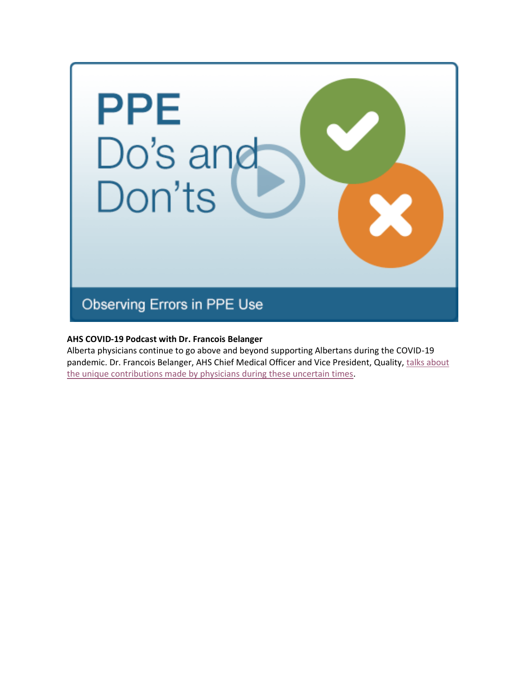

### **AHS COVID-19 Podcast with Dr. Francois Belanger**

Alberta physicians continue to go above and beyond supporting Albertans during the COVID-19 pandemic. Dr. Francois Belanger, AHS Chief Medical Officer and Vice President, Quality, [talks about](https://www.albertahealthservices.ca/news/Page15434.aspx)  [the unique contributions made by physicians during these uncertain times.](https://www.albertahealthservices.ca/news/Page15434.aspx)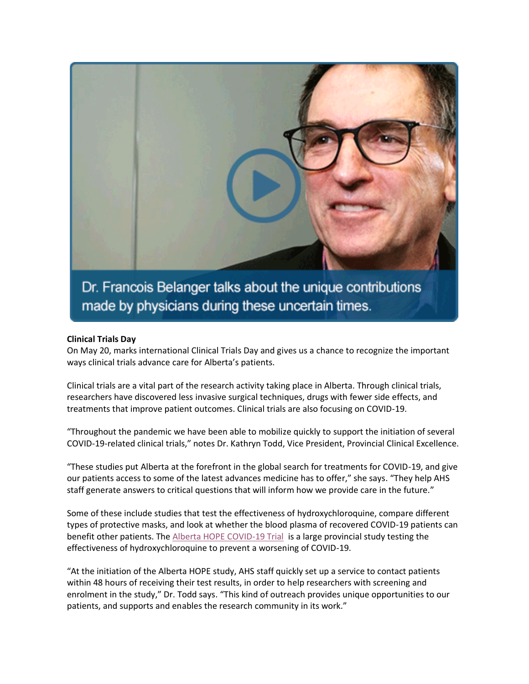

Dr. Francois Belanger talks about the unique contributions made by physicians during these uncertain times.

#### **Clinical Trials Day**

On May 20, marks international Clinical Trials Day and gives us a chance to recognize the important ways clinical trials advance care for Alberta's patients.

Clinical trials are a vital part of the research activity taking place in Alberta. Through clinical trials, researchers have discovered less invasive surgical techniques, drugs with fewer side effects, and treatments that improve patient outcomes. Clinical trials are also focusing on COVID-19.

"Throughout the pandemic we have been able to mobilize quickly to support the initiation of several COVID-19-related clinical trials," notes Dr. Kathryn Todd, Vice President, Provincial Clinical Excellence.

"These studies put Alberta at the forefront in the global search for treatments for COVID-19, and give our patients access to some of the latest advances medicine has to offer," she says. "They help AHS staff generate answers to critical questions that will inform how we provide care in the future."

Some of these include studies that test the effectiveness of hydroxychloroquine, compare different types of protective masks, and look at whether the blood plasma of recovered COVID-19 patients can benefit other patients. The [Alberta HOPE COVID-19 Trial](http://www.hopecovid.ca/) is a large provincial study testing the effectiveness of hydroxychloroquine to prevent a worsening of COVID-19.

"At the initiation of the Alberta HOPE study, AHS staff quickly set up a service to contact patients within 48 hours of receiving their test results, in order to help researchers with screening and enrolment in the study," Dr. Todd says. "This kind of outreach provides unique opportunities to our patients, and supports and enables the research community in its work."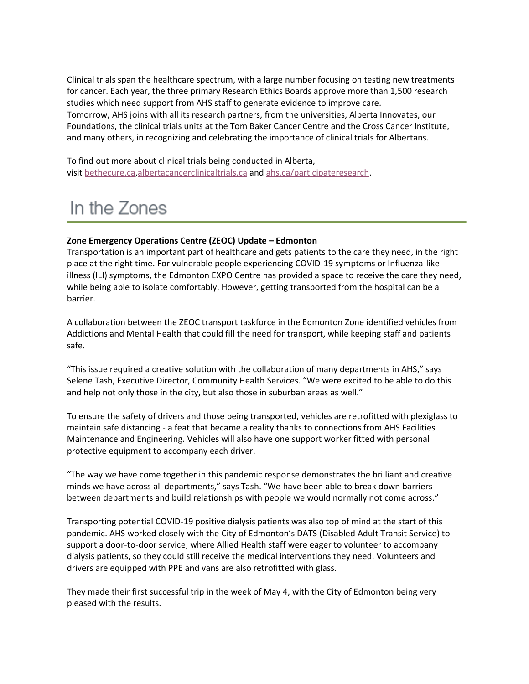Clinical trials span the healthcare spectrum, with a large number focusing on testing new treatments for cancer. Each year, the three primary Research Ethics Boards approve more than 1,500 research studies which need support from AHS staff to generate evidence to improve care. Tomorrow, AHS joins with all its research partners, from the universities, Alberta Innovates, our Foundations, the clinical trials units at the Tom Baker Cancer Centre and the Cross Cancer Institute, and many others, in recognizing and celebrating the importance of clinical trials for Albertans.

To find out more about clinical trials being conducted in Alberta, visit [bethecure.ca](http://www.bethecure.ca/)[,albertacancerclinicaltrials.ca](http://www.albertacancerclinicaltrials.ca/) and [ahs.ca/participateresearch.](http://www.ahs.ca/participateresearch)

## In the Zones

#### **Zone Emergency Operations Centre (ZEOC) Update – Edmonton**

Transportation is an important part of healthcare and gets patients to the care they need, in the right place at the right time. For vulnerable people experiencing COVID-19 symptoms or Influenza-likeillness (ILI) symptoms, the Edmonton EXPO Centre has provided a space to receive the care they need, while being able to isolate comfortably. However, getting transported from the hospital can be a barrier.

A collaboration between the ZEOC transport taskforce in the Edmonton Zone identified vehicles from Addictions and Mental Health that could fill the need for transport, while keeping staff and patients safe.

"This issue required a creative solution with the collaboration of many departments in AHS," says Selene Tash, Executive Director, Community Health Services. "We were excited to be able to do this and help not only those in the city, but also those in suburban areas as well."

To ensure the safety of drivers and those being transported, vehicles are retrofitted with plexiglass to maintain safe distancing - a feat that became a reality thanks to connections from AHS Facilities Maintenance and Engineering. Vehicles will also have one support worker fitted with personal protective equipment to accompany each driver.

"The way we have come together in this pandemic response demonstrates the brilliant and creative minds we have across all departments," says Tash. "We have been able to break down barriers between departments and build relationships with people we would normally not come across."

Transporting potential COVID-19 positive dialysis patients was also top of mind at the start of this pandemic. AHS worked closely with the City of Edmonton's DATS (Disabled Adult Transit Service) to support a door-to-door service, where Allied Health staff were eager to volunteer to accompany dialysis patients, so they could still receive the medical interventions they need. Volunteers and drivers are equipped with PPE and vans are also retrofitted with glass.

They made their first successful trip in the week of May 4, with the City of Edmonton being very pleased with the results.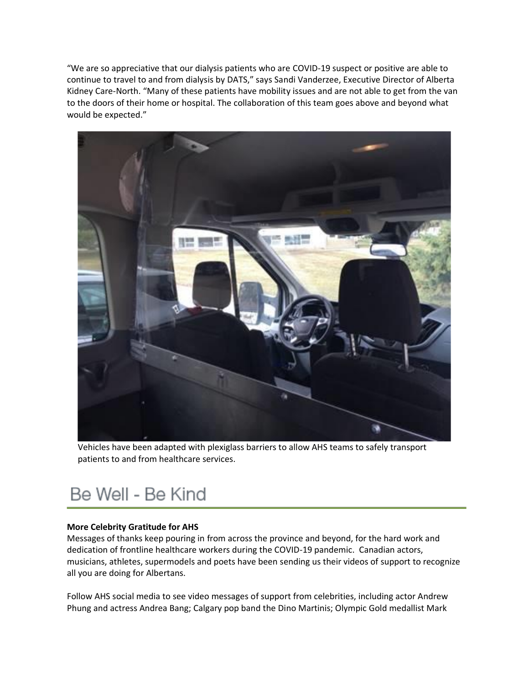"We are so appreciative that our dialysis patients who are COVID-19 suspect or positive are able to continue to travel to and from dialysis by DATS," says Sandi Vanderzee, Executive Director of Alberta Kidney Care-North. "Many of these patients have mobility issues and are not able to get from the van to the doors of their home or hospital. The collaboration of this team goes above and beyond what would be expected."



Vehicles have been adapted with plexiglass barriers to allow AHS teams to safely transport patients to and from healthcare services.

## Be Well - Be Kind

#### **More Celebrity Gratitude for AHS**

Messages of thanks keep pouring in from across the province and beyond, for the hard work and dedication of frontline healthcare workers during the COVID-19 pandemic. Canadian actors, musicians, athletes, supermodels and poets have been sending us their videos of support to recognize all you are doing for Albertans.

Follow AHS social media to see video messages of support from celebrities, including actor Andrew Phung and actress Andrea Bang; Calgary pop band the Dino Martinis; Olympic Gold medallist Mark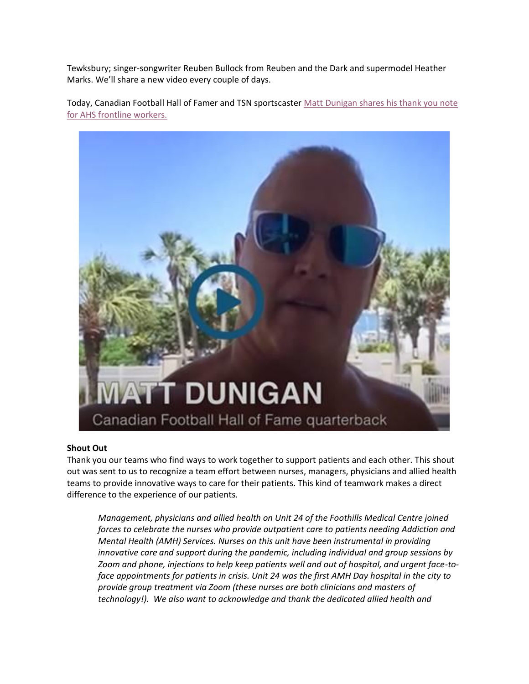Tewksbury; singer-songwriter Reuben Bullock from Reuben and the Dark and supermodel Heather Marks. We'll share a new video every couple of days.

Today, Canadian Football Hall of Famer and TSN sportscaster Matt Dunigan shares his thank you note [for AHS frontline workers.](https://www.youtube.com/watch?v=ad_tht4UNe4&feature=youtu.be)



#### **Shout Out**

Thank you our teams who find ways to work together to support patients and each other. This shout out was sent to us to recognize a team effort between nurses, managers, physicians and allied health teams to provide innovative ways to care for their patients. This kind of teamwork makes a direct difference to the experience of our patients.

*Management, physicians and allied health on Unit 24 of the Foothills Medical Centre joined forces to celebrate the nurses who provide outpatient care to patients needing Addiction and Mental Health (AMH) Services. Nurses on this unit have been instrumental in providing innovative care and support during the pandemic, including individual and group sessions by Zoom and phone, injections to help keep patients well and out of hospital, and urgent face-toface appointments for patients in crisis. Unit 24 was the first AMH Day hospital in the city to provide group treatment via Zoom (these nurses are both clinicians and masters of technology!). We also want to acknowledge and thank the dedicated allied health and*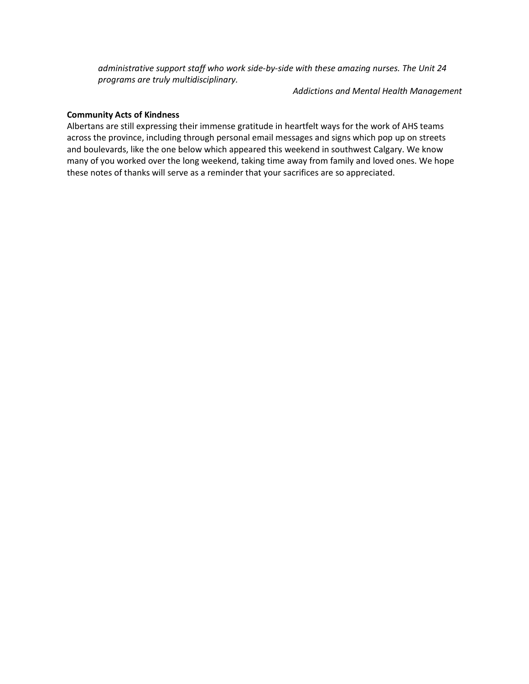*administrative support staff who work side-by-side with these amazing nurses. The Unit 24 programs are truly multidisciplinary.*

*Addictions and Mental Health Management*

#### **Community Acts of Kindness**

Albertans are still expressing their immense gratitude in heartfelt ways for the work of AHS teams across the province, including through personal email messages and signs which pop up on streets and boulevards, like the one below which appeared this weekend in southwest Calgary. We know many of you worked over the long weekend, taking time away from family and loved ones. We hope these notes of thanks will serve as a reminder that your sacrifices are so appreciated.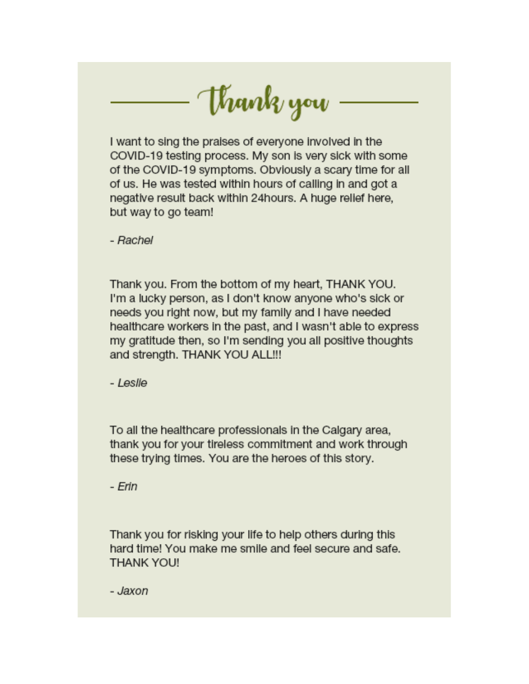Wank you

I want to sing the praises of everyone involved in the COVID-19 testing process. My son is very sick with some of the COVID-19 symptoms. Obviously a scary time for all of us. He was tested within hours of calling in and got a negative result back within 24hours. A huge relief here, but way to go team!

- Rachel

Thank you. From the bottom of my heart, THANK YOU. I'm a lucky person, as I don't know anyone who's sick or needs you right now, but my family and I have needed healthcare workers in the past, and I wasn't able to express my gratitude then, so I'm sending you all positive thoughts and strength. THANK YOU ALL!!!

- Leslie

To all the healthcare professionals in the Calgary area, thank you for your tireless commitment and work through these trying times. You are the heroes of this story.

- Erin

Thank you for risking your life to help others during this hard time! You make me smile and feel secure and safe. **THANK YOU!** 

- Jaxon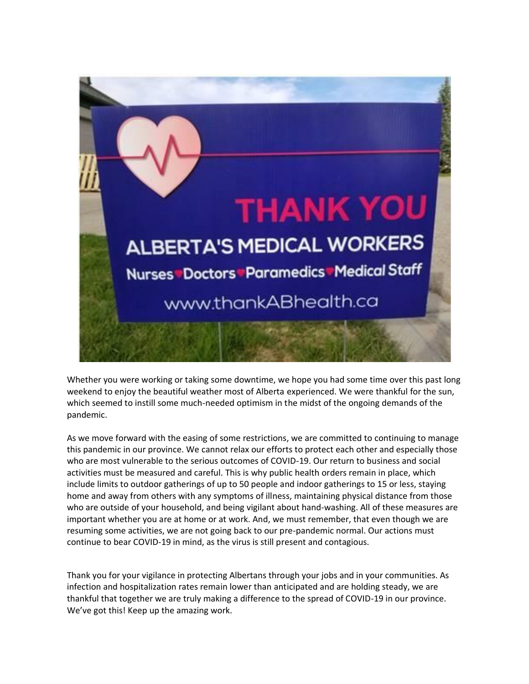

Whether you were working or taking some downtime, we hope you had some time over this past long weekend to enjoy the beautiful weather most of Alberta experienced. We were thankful for the sun, which seemed to instill some much-needed optimism in the midst of the ongoing demands of the pandemic.

As we move forward with the easing of some restrictions, we are committed to continuing to manage this pandemic in our province. We cannot relax our efforts to protect each other and especially those who are most vulnerable to the serious outcomes of COVID-19. Our return to business and social activities must be measured and careful. This is why public health orders remain in place, which include limits to outdoor gatherings of up to 50 people and indoor gatherings to 15 or less, staying home and away from others with any symptoms of illness, maintaining physical distance from those who are outside of your household, and being vigilant about hand-washing. All of these measures are important whether you are at home or at work. And, we must remember, that even though we are resuming some activities, we are not going back to our pre-pandemic normal. Our actions must continue to bear COVID-19 in mind, as the virus is still present and contagious.

Thank you for your vigilance in protecting Albertans through your jobs and in your communities. As infection and hospitalization rates remain lower than anticipated and are holding steady, we are thankful that together we are truly making a difference to the spread of COVID-19 in our province. We've got this! Keep up the amazing work.